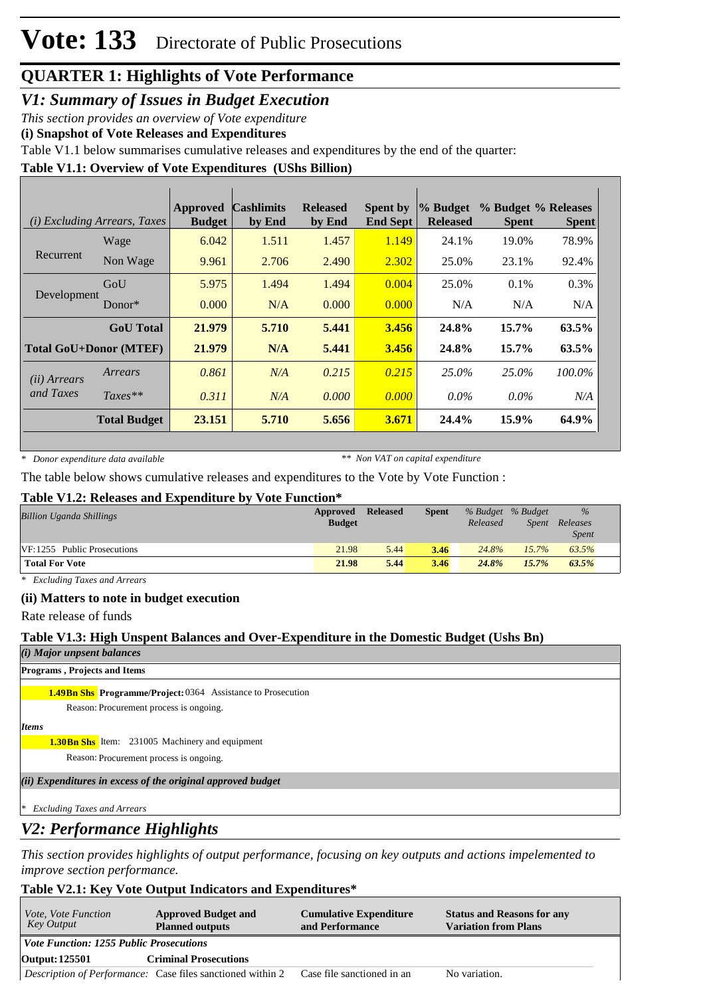*V1: Summary of Issues in Budget Execution*

*This section provides an overview of Vote expenditure* 

**(i) Snapshot of Vote Releases and Expenditures**

Table V1.1 below summarises cumulative releases and expenditures by the end of the quarter:

### **Table V1.1: Overview of Vote Expenditures (UShs Billion)**

|                               | ( <i>i</i> ) Excluding Arrears, Taxes | Approved<br><b>Budget</b> | <b>Cashlimits</b><br>by End | <b>Released</b><br>by End | <b>Spent by</b><br><b>End Sept</b> | % Budget<br><b>Released</b> | % Budget % Releases<br><b>Spent</b> | <b>Spent</b> |
|-------------------------------|---------------------------------------|---------------------------|-----------------------------|---------------------------|------------------------------------|-----------------------------|-------------------------------------|--------------|
|                               | Wage                                  | 6.042                     | 1.511                       | 1.457                     | 1.149                              | 24.1%                       | 19.0%                               | 78.9%        |
| Recurrent                     | Non Wage                              | 9.961                     | 2.706                       | 2.490                     | 2.302                              | 25.0%                       | 23.1%                               | 92.4%        |
| Development                   | GoU                                   | 5.975                     | 1.494                       | 1.494                     | 0.004                              | 25.0%                       | 0.1%                                | 0.3%         |
|                               | Donor $*$                             | 0.000                     | N/A                         | 0.000                     | 0.000                              | N/A                         | N/A                                 | N/A          |
|                               | <b>GoU</b> Total                      | 21.979                    | 5.710                       | 5.441                     | 3.456                              | 24.8%                       | $15.7\%$                            | 63.5%        |
| <b>Total GoU+Donor (MTEF)</b> |                                       | 21.979                    | N/A                         | 5.441                     | 3.456                              | 24.8%                       | 15.7%                               | 63.5%        |
| ( <i>ii</i> ) Arrears         | Arrears                               | 0.861                     | N/A                         | 0.215                     | 0.215                              | 25.0%                       | 25.0%                               | 100.0%       |
| and Taxes                     | $Taxes**$                             | 0.311                     | N/A                         | 0.000                     | 0.000                              | $0.0\%$                     | $0.0\%$                             | N/A          |
|                               | <b>Total Budget</b>                   | 23.151                    | 5.710                       | 5.656                     | 3.671                              | 24.4%                       | 15.9%                               | 64.9%        |

*\* Donor expenditure data available*

*\*\* Non VAT on capital expenditure*

The table below shows cumulative releases and expenditures to the Vote by Vote Function :

#### **Table V1.2: Releases and Expenditure by Vote Function\***

| <b>Billion Uganda Shillings</b> | Approved<br><b>Budget</b> | <b>Released</b> | <b>Spent</b> | % Budget % Budget<br>Released | Spent | $\frac{9}{6}$<br>Releases<br><i>Spent</i> |
|---------------------------------|---------------------------|-----------------|--------------|-------------------------------|-------|-------------------------------------------|
| VF:1255 Public Prosecutions     | 21.98                     | 5.44            | 3.46         | 24.8%                         | 15.7% | 63.5%                                     |
| <b>Total For Vote</b>           | 21.98                     | 5.44            | 3.46         | 24.8%                         | 15.7% | 63.5%                                     |

*\* Excluding Taxes and Arrears*

#### **(ii) Matters to note in budget execution**

Rate release of funds

### **Table V1.3: High Unspent Balances and Over-Expenditure in the Domestic Budget (Ushs Bn)**

*(i) Major unpsent balances*

**Programs , Projects and Items**

### **1.49Bn Shs Programme/Project: 0364 Assistance to Prosecution**

Reason: Procurement process is ongoing.

*Items*

**1.30Bn Shs** Item: 231005 Machinery and equipment

Reason: Procurement process is ongoing.

*(ii) Expenditures in excess of the original approved budget*

*\* Excluding Taxes and Arrears*

## *V2: Performance Highlights*

*This section provides highlights of output performance, focusing on key outputs and actions impelemented to improve section performance.*

## **Table V2.1: Key Vote Output Indicators and Expenditures\***

| <i>Vote, Vote Function</i><br>Key Output       | <b>Approved Budget and</b><br><b>Planned outputs</b>                                         | <b>Cumulative Expenditure</b><br>and Performance | <b>Status and Reasons for any</b><br><b>Variation from Plans</b> |  |  |  |  |
|------------------------------------------------|----------------------------------------------------------------------------------------------|--------------------------------------------------|------------------------------------------------------------------|--|--|--|--|
| <i>Vote Function: 1255 Public Prosecutions</i> |                                                                                              |                                                  |                                                                  |  |  |  |  |
| Output: 125501                                 | <b>Criminal Prosecutions</b>                                                                 |                                                  |                                                                  |  |  |  |  |
|                                                | <i>Description of Performance:</i> Case files sanctioned within 2 Case file sanctioned in an |                                                  | No variation.                                                    |  |  |  |  |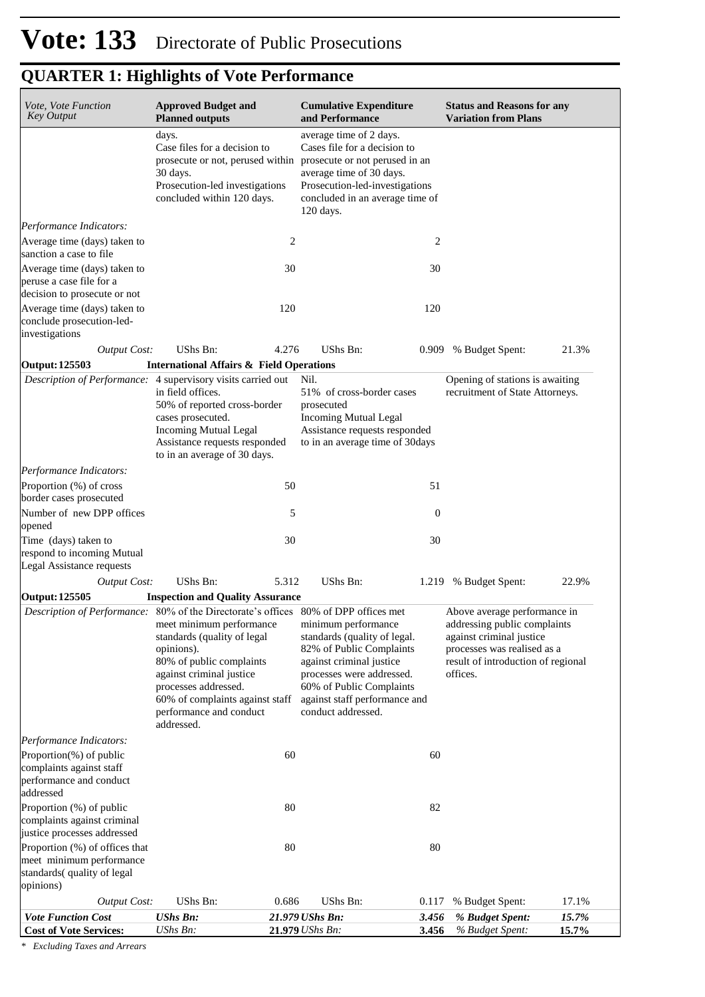| Vote, Vote Function<br><b>Key Output</b>                                                                    | <b>Approved Budget and</b><br><b>Planned outputs</b>                                                                                                                                                                                                  |       | <b>Cumulative Expenditure</b><br>and Performance                                                                                                                                                                                         |                  | <b>Status and Reasons for any</b><br><b>Variation from Plans</b>                                                                                                          |                |  |  |
|-------------------------------------------------------------------------------------------------------------|-------------------------------------------------------------------------------------------------------------------------------------------------------------------------------------------------------------------------------------------------------|-------|------------------------------------------------------------------------------------------------------------------------------------------------------------------------------------------------------------------------------------------|------------------|---------------------------------------------------------------------------------------------------------------------------------------------------------------------------|----------------|--|--|
|                                                                                                             | days.<br>Case files for a decision to<br>30 days.<br>Prosecution-led investigations<br>concluded within 120 days.                                                                                                                                     |       | average time of 2 days.<br>Cases file for a decision to<br>prosecute or not, perused within prosecute or not perused in an<br>average time of 30 days.<br>Prosecution-led-investigations<br>concluded in an average time of<br>120 days. |                  |                                                                                                                                                                           |                |  |  |
| Performance Indicators:                                                                                     |                                                                                                                                                                                                                                                       |       |                                                                                                                                                                                                                                          |                  |                                                                                                                                                                           |                |  |  |
| Average time (days) taken to<br>sanction a case to file                                                     |                                                                                                                                                                                                                                                       | 2     |                                                                                                                                                                                                                                          | 2                |                                                                                                                                                                           |                |  |  |
| Average time (days) taken to<br>peruse a case file for a                                                    |                                                                                                                                                                                                                                                       | 30    |                                                                                                                                                                                                                                          | 30               |                                                                                                                                                                           |                |  |  |
| decision to prosecute or not<br>Average time (days) taken to<br>conclude prosecution-led-<br>investigations |                                                                                                                                                                                                                                                       | 120   |                                                                                                                                                                                                                                          | 120              |                                                                                                                                                                           |                |  |  |
| <b>Output Cost:</b>                                                                                         | <b>UShs Bn:</b>                                                                                                                                                                                                                                       | 4.276 | UShs Bn:                                                                                                                                                                                                                                 | 0.909            | % Budget Spent:                                                                                                                                                           | 21.3%          |  |  |
| <b>Output: 125503</b>                                                                                       | <b>International Affairs &amp; Field Operations</b>                                                                                                                                                                                                   |       |                                                                                                                                                                                                                                          |                  |                                                                                                                                                                           |                |  |  |
| <i>Description of Performance:</i> 4 supervisory visits carried out                                         | in field offices.<br>50% of reported cross-border<br>cases prosecuted.<br><b>Incoming Mutual Legal</b><br>Assistance requests responded<br>to in an average of 30 days.                                                                               |       | Nil.<br>51% of cross-border cases<br>prosecuted<br><b>Incoming Mutual Legal</b><br>Assistance requests responded<br>to in an average time of 30 days                                                                                     |                  | Opening of stations is awaiting<br>recruitment of State Attorneys.                                                                                                        |                |  |  |
| Performance Indicators:                                                                                     |                                                                                                                                                                                                                                                       |       |                                                                                                                                                                                                                                          |                  |                                                                                                                                                                           |                |  |  |
| Proportion (%) of cross<br>border cases prosecuted                                                          |                                                                                                                                                                                                                                                       | 50    |                                                                                                                                                                                                                                          | 51               |                                                                                                                                                                           |                |  |  |
| Number of new DPP offices<br>opened                                                                         |                                                                                                                                                                                                                                                       | 5     |                                                                                                                                                                                                                                          | $\boldsymbol{0}$ |                                                                                                                                                                           |                |  |  |
| Time (days) taken to<br>respond to incoming Mutual<br>Legal Assistance requests                             |                                                                                                                                                                                                                                                       | 30    |                                                                                                                                                                                                                                          | 30               |                                                                                                                                                                           |                |  |  |
| <b>Output Cost:</b>                                                                                         | UShs Bn:                                                                                                                                                                                                                                              | 5.312 | <b>UShs Bn:</b>                                                                                                                                                                                                                          |                  | 1.219 % Budget Spent:                                                                                                                                                     | 22.9%          |  |  |
| Output: 125505                                                                                              | <b>Inspection and Quality Assurance</b>                                                                                                                                                                                                               |       |                                                                                                                                                                                                                                          |                  |                                                                                                                                                                           |                |  |  |
| Description of Performance: 80% of the Directorate's offices 80% of DPP offices met                         | meet minimum performance minimum performance<br>standards (quality of legal<br>opinions).<br>80% of public complaints<br>against criminal justice<br>processes addressed.<br>60% of complaints against staff<br>performance and conduct<br>addressed. |       | standards (quality of legal.<br>82% of Public Complaints<br>against criminal justice<br>processes were addressed.<br>60% of Public Complaints<br>against staff performance and<br>conduct addressed.                                     |                  | Above average performance in<br>addressing public complaints<br>against criminal justice<br>processes was realised as a<br>result of introduction of regional<br>offices. |                |  |  |
| Performance Indicators:                                                                                     |                                                                                                                                                                                                                                                       |       |                                                                                                                                                                                                                                          |                  |                                                                                                                                                                           |                |  |  |
| Proportion(%) of public<br>complaints against staff<br>performance and conduct<br>addressed                 |                                                                                                                                                                                                                                                       | 60    |                                                                                                                                                                                                                                          | 60               |                                                                                                                                                                           |                |  |  |
| Proportion (%) of public<br>complaints against criminal<br>justice processes addressed                      |                                                                                                                                                                                                                                                       | 80    |                                                                                                                                                                                                                                          | 82               |                                                                                                                                                                           |                |  |  |
| Proportion (%) of offices that<br>meet minimum performance<br>standards(quality of legal<br>opinions)       |                                                                                                                                                                                                                                                       | 80    |                                                                                                                                                                                                                                          | 80               |                                                                                                                                                                           |                |  |  |
| <b>Output Cost:</b>                                                                                         | UShs Bn:                                                                                                                                                                                                                                              | 0.686 | UShs Bn:                                                                                                                                                                                                                                 | 0.117            | % Budget Spent:                                                                                                                                                           | 17.1%          |  |  |
| <b>Vote Function Cost</b><br><b>Cost of Vote Services:</b>                                                  | <b>UShs Bn:</b><br>UShs Bn:                                                                                                                                                                                                                           |       | 21.979 UShs Bn:<br>21.979 UShs Bn:                                                                                                                                                                                                       | 3.456<br>3.456   | % Budget Spent:<br>% Budget Spent:                                                                                                                                        | 15.7%<br>15.7% |  |  |

*\* Excluding Taxes and Arrears*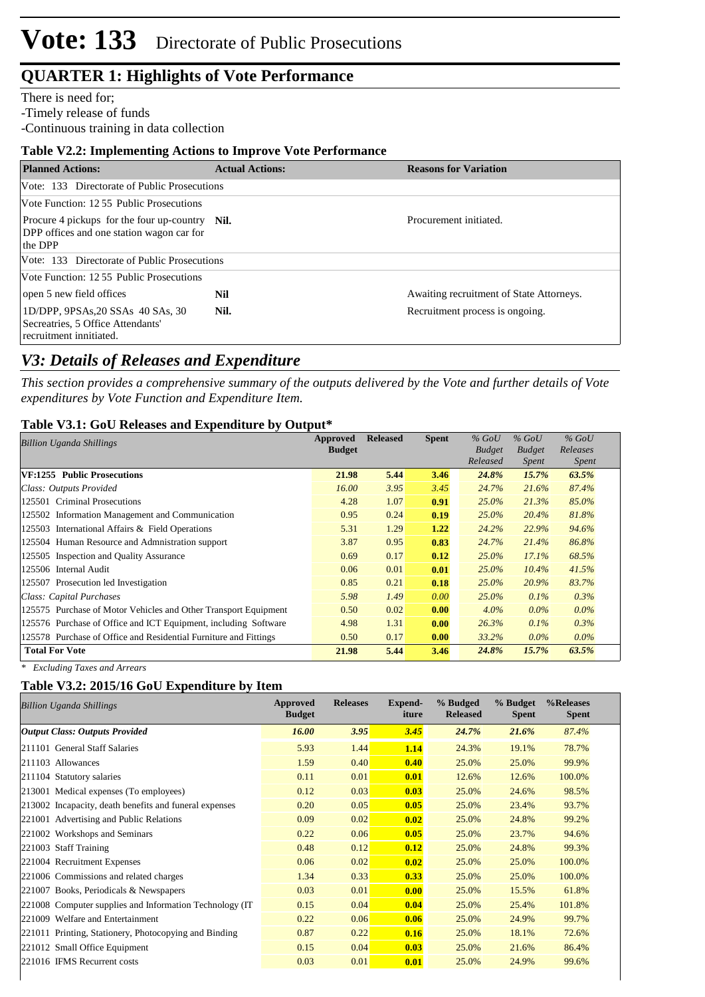There is need for;

-Timely release of funds

-Continuous training in data collection

### **Table V2.2: Implementing Actions to Improve Vote Performance**

| <b>Planned Actions:</b>                                                                                | <b>Actual Actions:</b> | <b>Reasons for Variation</b>             |
|--------------------------------------------------------------------------------------------------------|------------------------|------------------------------------------|
| Vote: 133 Directorate of Public Prosecutions                                                           |                        |                                          |
| Vote Function: 12.55 Public Prosecutions                                                               |                        |                                          |
| Procure 4 pickups for the four up-country Nil.<br>DPP offices and one station wagon car for<br>the DPP |                        | Procurement initiated.                   |
| Vote: 133 Directorate of Public Prosecutions                                                           |                        |                                          |
| Vote Function: 12.55 Public Prosecutions                                                               |                        |                                          |
| open 5 new field offices                                                                               | Nil                    | Awaiting recruitment of State Attorneys. |
| 1D/DPP, 9PSAs, 20 SSAs 40 SAs, 30<br>Secreatries, 5 Office Attendants'<br>recruitment innitiated.      | Nil.                   | Recruitment process is ongoing.          |

## *V3: Details of Releases and Expenditure*

*This section provides a comprehensive summary of the outputs delivered by the Vote and further details of Vote expenditures by Vote Function and Expenditure Item.*

### **Table V3.1: GoU Releases and Expenditure by Output\***

| Approved<br><b>Billion Uganda Shillings</b>                      |               | <b>Released</b> | <b>Spent</b> | $%$ GoU                   | $%$ GoU                       | $%$ GoU                  |  |
|------------------------------------------------------------------|---------------|-----------------|--------------|---------------------------|-------------------------------|--------------------------|--|
|                                                                  | <b>Budget</b> |                 |              | <b>Budget</b><br>Released | <b>Budget</b><br><i>Spent</i> | Releases<br><i>Spent</i> |  |
| VF:1255 Public Prosecutions                                      | 21.98         | 5.44            | 3.46         | 24.8%                     | 15.7%                         | 63.5%                    |  |
| Class: Outputs Provided                                          | 16.00         | 3.95            | 3.45         | 24.7%                     | 21.6%                         | 87.4%                    |  |
| 125501 Criminal Prosecutions                                     | 4.28          | 1.07            | 0.91         | $25.0\%$                  | 21.3%                         | 85.0%                    |  |
| 125502 Information Management and Communication                  | 0.95          | 0.24            | 0.19         | $25.0\%$                  | 20.4%                         | 81.8%                    |  |
| 125503 International Affairs & Field Operations                  | 5.31          | 1.29            | 1.22         | 24.2%                     | 22.9%                         | 94.6%                    |  |
| 125504 Human Resource and Admnistration support                  | 3.87          | 0.95            | 0.83         | 24.7%                     | 21.4%                         | 86.8%                    |  |
| 125505 Inspection and Quality Assurance                          | 0.69          | 0.17            | 0.12         | $25.0\%$                  | 17.1%                         | 68.5%                    |  |
| 125506 Internal Audit                                            | 0.06          | 0.01            | 0.01         | $25.0\%$                  | $10.4\%$                      | 41.5%                    |  |
| 125507 Prosecution led Investigation                             | 0.85          | 0.21            | 0.18         | 25.0%                     | 20.9%                         | 83.7%                    |  |
| Class: Capital Purchases                                         | 5.98          | 1.49            | 0.00         | $25.0\%$                  | $0.1\%$                       | 0.3%                     |  |
| 125575 Purchase of Motor Vehicles and Other Transport Equipment  | 0.50          | 0.02            | 0.00         | $4.0\%$                   | $0.0\%$                       | $0.0\%$                  |  |
| 125576 Purchase of Office and ICT Equipment, including Software  | 4.98          | 1.31            | 0.00         | 26.3%                     | $0.1\%$                       | 0.3%                     |  |
| 125578 Purchase of Office and Residential Furniture and Fittings | 0.50          | 0.17            | 0.00         | 33.2%                     | $0.0\%$                       | $0.0\%$                  |  |
| <b>Total For Vote</b>                                            | 21.98         | 5.44            | 3.46         | 24.8%                     | 15.7%                         | 63.5%                    |  |

*\* Excluding Taxes and Arrears*

### **Table V3.2: 2015/16 GoU Expenditure by Item**

| Approved<br><b>Budget</b> | <b>Releases</b> | <b>Expend-</b><br>iture | % Budged<br><b>Released</b> | % Budget<br><b>Spent</b> | %Releases<br><b>Spent</b> |
|---------------------------|-----------------|-------------------------|-----------------------------|--------------------------|---------------------------|
| <b>16.00</b>              | 3.95            | 3.45                    | 24.7%                       | 21.6%                    | 87.4%                     |
| 5.93                      | 1.44            | 1.14                    | 24.3%                       | 19.1%                    | 78.7%                     |
| 1.59                      | 0.40            | 0.40                    | 25.0%                       | 25.0%                    | 99.9%                     |
| 0.11                      | 0.01            | 0.01                    | 12.6%                       | 12.6%                    | 100.0%                    |
| 0.12                      | 0.03            | 0.03                    | 25.0%                       | 24.6%                    | 98.5%                     |
| 0.20                      | 0.05            | 0.05                    | 25.0%                       | 23.4%                    | 93.7%                     |
| 0.09                      | 0.02            | 0.02                    | 25.0%                       | 24.8%                    | 99.2%                     |
| 0.22                      | 0.06            | 0.05                    | 25.0%                       | 23.7%                    | 94.6%                     |
| 0.48                      | 0.12            | 0.12                    | 25.0%                       | 24.8%                    | 99.3%                     |
| 0.06                      | 0.02            | 0.02                    | 25.0%                       | 25.0%                    | 100.0%                    |
| 1.34                      | 0.33            | 0.33                    | 25.0%                       | 25.0%                    | 100.0%                    |
| 0.03                      | 0.01            | 0.00                    | 25.0%                       | 15.5%                    | 61.8%                     |
| 0.15                      | 0.04            | 0.04                    | 25.0%                       | 25.4%                    | 101.8%                    |
| 0.22                      | 0.06            | 0.06                    | 25.0%                       | 24.9%                    | 99.7%                     |
| 0.87                      | 0.22            | 0.16                    | 25.0%                       | 18.1%                    | 72.6%                     |
| 0.15                      | 0.04            | 0.03                    | 25.0%                       | 21.6%                    | 86.4%                     |
| 0.03                      | 0.01            | 0.01                    | 25.0%                       | 24.9%                    | 99.6%                     |
|                           |                 |                         |                             |                          |                           |